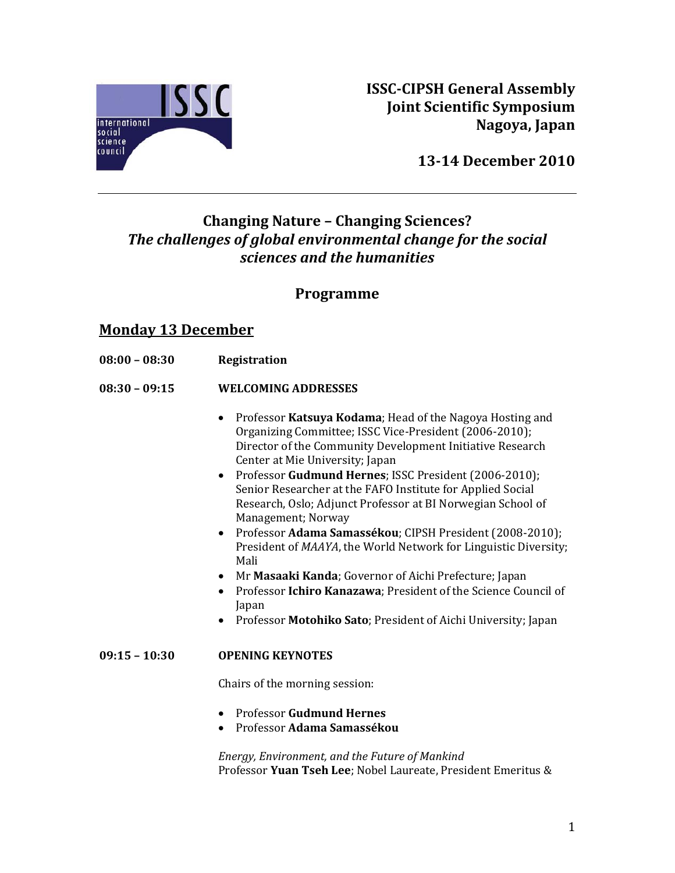

**ISSCCIPSH General Assembly Joint Scientific Symposium Nagoya, Japan**

**1314 December 2010**

# **Changing Nature – Changing Sciences?** *The challenges of global environmental change for the social sciences and the humanities*

# **Programme**

## **Monday 13 December**

- $08:00 08:30$ **8:00 – 08:30 Registration**
- $08:30 09:15$ **8:30 – 09:15 WELCOMING ADDRESSES** 
	- Professor **Katsuya Kodama**; Head of the Nagoya Hosting and Organizing Committee; ISSC Vice‐President (2006‐2010); Director of the Community Development Initiative Research Center at Mie University; Japan
	- Professor **Gudmund Hernes**; ISSC President (2006‐2010); Senior Researcher at the FAFO Institute for Applied Social Research, Oslo; Adjunct Professor at BI Norwegian School of Management; Norway
	- Professor **Adama Samassékou**; CIPSH President (2008‐2010); President of *MAAYA*, the World Network for Linguistic Diversity; Mali
	- Mr Masaaki Kanda; Governor of Aichi Prefecture; Japan
	- Professor **Ichiro Kanazawa**; President of the Science Council of Japan
	- Professor **Motohiko Sato**; President of Aichi University; Japan

### **09:15 – 10:30 OPENING KEYNOTES**

Chairs of the morning session:

- Professor **Gudmund Hernes**
- Professor **Adama Samassékou**

*Energy, En the Future of Mankind vironment, and* Professor **Yuan Tseh Lee**; Nobel Laureate, President Emeritus &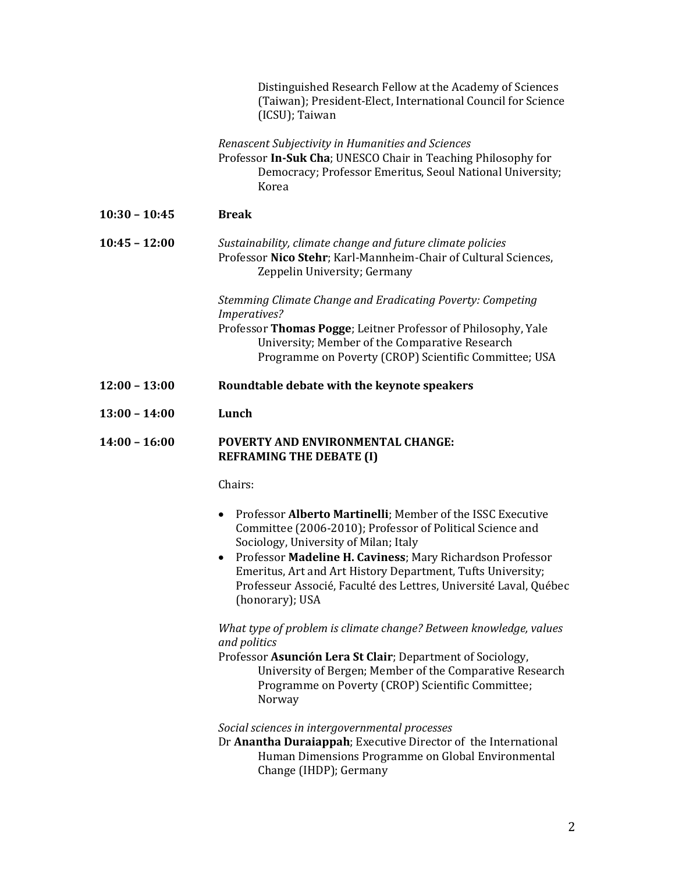|                 | Distinguished Research Fellow at the Academy of Sciences<br>(Taiwan); President-Elect, International Council for Science<br>(ICSU); Taiwan                                                                                                 |
|-----------------|--------------------------------------------------------------------------------------------------------------------------------------------------------------------------------------------------------------------------------------------|
|                 | Renascent Subjectivity in Humanities and Sciences<br>Professor In-Suk Cha; UNESCO Chair in Teaching Philosophy for<br>Democracy; Professor Emeritus, Seoul National University;<br>Korea                                                   |
| $10:30 - 10:45$ | <b>Break</b>                                                                                                                                                                                                                               |
| $10:45 - 12:00$ | Sustainability, climate change and future climate policies<br>Professor Nico Stehr; Karl-Mannheim-Chair of Cultural Sciences,<br>Zeppelin University; Germany                                                                              |
|                 | Stemming Climate Change and Eradicating Poverty: Competing                                                                                                                                                                                 |
|                 | <i>Imperatives?</i><br>Professor Thomas Pogge; Leitner Professor of Philosophy, Yale<br>University; Member of the Comparative Research<br>Programme on Poverty (CROP) Scientific Committee; USA                                            |
| $12:00 - 13:00$ | Roundtable debate with the keynote speakers                                                                                                                                                                                                |
| $13:00 - 14:00$ | Lunch                                                                                                                                                                                                                                      |
| $14:00 - 16:00$ | <b>POVERTY AND ENVIRONMENTAL CHANGE:</b><br><b>REFRAMING THE DEBATE (I)</b>                                                                                                                                                                |
|                 | Chairs:                                                                                                                                                                                                                                    |
|                 | Professor Alberto Martinelli; Member of the ISSC Executive<br>$\bullet$<br>Committee (2006-2010); Professor of Political Science and<br>Sociology, University of Milan; Italy<br>Professor Madeline H. Caviness; Mary Richardson Professor |
|                 | Emeritus, Art and Art History Department, Tufts University;<br>Professeur Associé, Faculté des Lettres, Université Laval, Québec<br>(honorary); USA                                                                                        |
|                 | What type of problem is climate change? Between knowledge, values<br>and politics                                                                                                                                                          |
|                 | Professor Asunción Lera St Clair; Department of Sociology,<br>University of Bergen; Member of the Comparative Research<br>Programme on Poverty (CROP) Scientific Committee;<br>Norway                                                      |
|                 | Social sciences in intergovernmental processes<br>Dr Anantha Duraiappah; Executive Director of the International                                                                                                                           |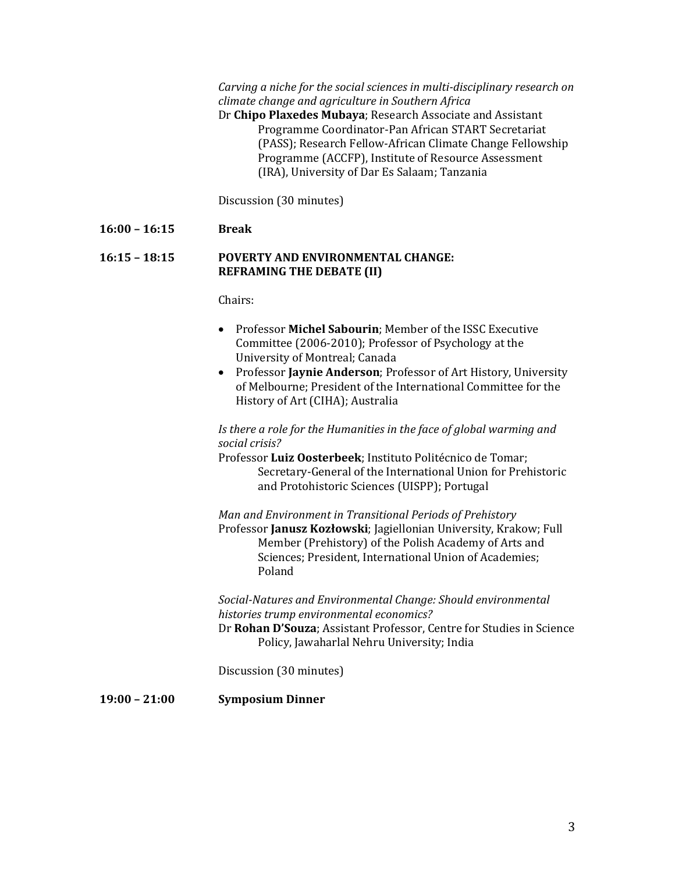$C$ *arving* a niche for the social sciences in multi-disciplinary research on *clim ate change and agriculture in Southern Africa*

Dr **Chip o Plaxedes Mubaya**; Research Associate and Assistant Programme Coordinator‐Pan African START Secretariat (PASS); Research Fellow‐African Climate Change Fellowship Programme (ACCFP), Institute of Resource Assessment (IRA), University of Dar Es Salaam; Tanzania

Discussion (30 minutes)

#### **16:00 – 16:15 Break**

### **16:15 – 18:15 POVERTY AND ENVIRONMENTAL CHANGE: REFRAM ING THE DEBATE (II)**

Chairs:

- Professor **Michel Sabourin**; Member of the ISSC Executive Committee (2006‐2010); Professor of Psychology at the University of Montreal; Canada
- Professor **Jaynie Anderson**; Professor of Art History, University of Melbourne; President of the International Committee for the History of Art (CIHA); Australia

Is there a role for the Humanities in the face of global warming and *social cr isis?*

Professo r **Luiz Oosterbeek**; Instituto Politécnico de Tomar; Secretary-General of the International Union for Prehistoric and Protohistoric Sciences (UISPP); Portugal

*Man and Environment in Transitional Periods of Prehistory* Professor Janusz Kozłowski; Jagiellonian University, Krakow; Full Member (Prehistory) of the Polish Academy of Arts and Sciences; President, International Union of Academies; Poland

*Soc Environmental Change: Should environmental ialNatures and hist ories trump environmental economics?*

Dr Rohan D'Souza; Assistant Professor, Centre for Studies in Science Policy, Jawaharlal Nehru University; India

Discussion (30 minutes)

**19:00 – 21:00 Symposium Dinner**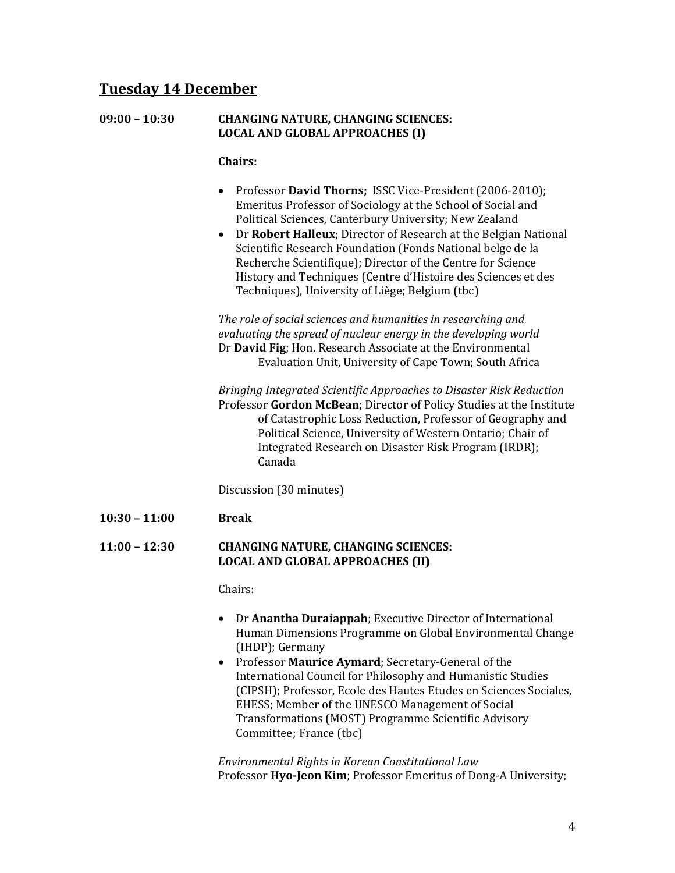## **Tuesday 14 December**

| $09:00 - 10:30$ | <b>CHANGING NATURE, CHANGING SCIENCES:</b> |
|-----------------|--------------------------------------------|
|                 | <b>LOCAL AND GLOBAL APPROACHES (I)</b>     |

**Chairs:** 

- Professor **David Thorns;** ISSC Vice‐President (2006‐2010); Emeritus Professor of Sociology at the School of Social and Political Sciences, Canterbury University; New Zealand
- Dr **Robert Halleux**; Director of Research at the Belgian National Scientific Research Foundation (Fonds National belge de la Recherche Scientifique); Director of the Centre for Science History and Techniques (Centre d'Histoire des Sciences et des Techniques), University of Liège; Belgium (tbc)

*The cial sciences and humanities in researching and role of so eva luati ng the spread of nuclear energy in the developing world* Dr David Fig; Hon. Research Associate at the Environmental Evaluation Unit, University of Cape Town; South Africa

*Bringing Integrated Scientific Approaches to Disaster Risk Reduction* Professor Gordon McBean; Director of Policy Studies at the Institute of Catastrophic Loss Reduction, Professor of Geography and Political Science, University of Western Ontario; Chair of Integrated Research on Disaster Risk Program (IRDR); Canada

Discussion (30 minutes)

**10:30 – 11:00 Break**

### **11:00 – 12:30 CHANGING NATURE, CHANGING SCIENCES: LOCAL AND GLOBAL APPROACHES (II)**

Chairs:

- Dr **Anantha Duraiappah**; Executive Director of International Human Dimensions Programme on Global Environmental Change (IHDP); Germany
- Professor **Maurice Aymard**; Secretary‐General of the International Council for Philosophy and Humanistic Studies (CIPSH); Professor, Ecole des Hautes Etudes en Sciences Sociales, EHESS; Member of the UNESCO Management of Social Transformations (MOST) Programme Scientific Advisory Committee; France (tbc)

*Environmental Rights in Korean Constitutional Law* Professor **HyoJeon Kim**; Professor Emeritus of Dong‐A University;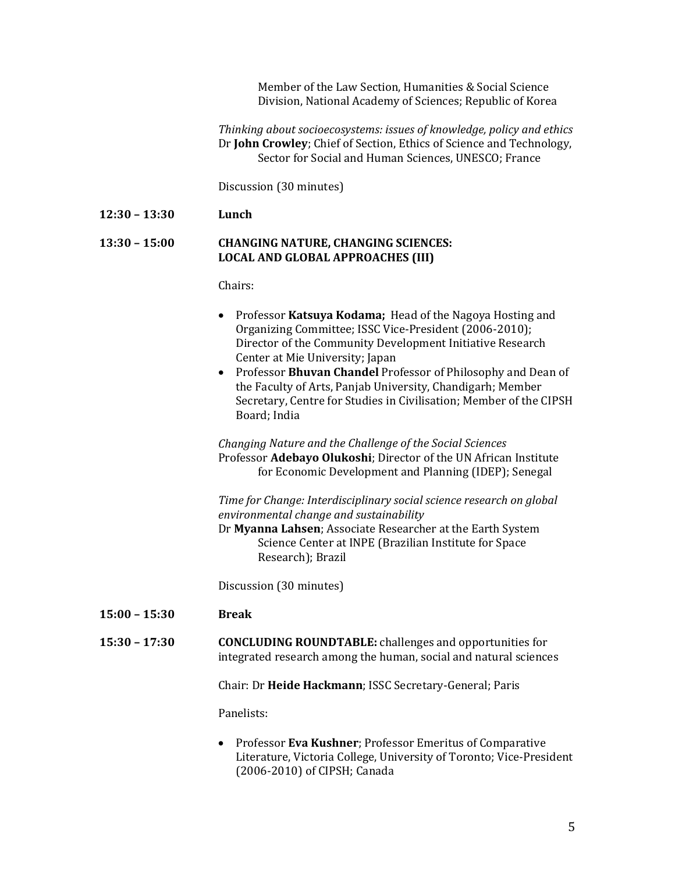Member of the Law Section, Humanities & Social Science Division, National Academy of Sciences; Republic of Korea

*Thi ethics nking about socioecosystems: issues of knowledge, policy and* Dr **John Crowley**; Chief of Section, Ethics of Science and Technology, Sector for Social and Human Sciences, UNESCO; France

Discussion (30 minutes)

### **12:30 – 13:30 Lunch**

### **13:30 – 15:00 CHANGING NATURE, CHANGING SCIENCES: LOCAL AND GLOBAL APPROACHES (III)**

Cha irs: 

|                 | Professor Katsuya Kodama; Head of the Nagoya Hosting and<br>Organizing Committee; ISSC Vice-President (2006-2010);<br>Director of the Community Development Initiative Research<br>Center at Mie University; Japan<br>Professor Bhuvan Chandel Professor of Philosophy and Dean of<br>$\bullet$<br>the Faculty of Arts, Panjab University, Chandigarh; Member<br>Secretary, Centre for Studies in Civilisation; Member of the CIPSH<br>Board; India |
|-----------------|-----------------------------------------------------------------------------------------------------------------------------------------------------------------------------------------------------------------------------------------------------------------------------------------------------------------------------------------------------------------------------------------------------------------------------------------------------|
|                 | Changing Nature and the Challenge of the Social Sciences<br>Professor Adebayo Olukoshi; Director of the UN African Institute<br>for Economic Development and Planning (IDEP); Senegal                                                                                                                                                                                                                                                               |
|                 | Time for Change: Interdisciplinary social science research on global<br>environmental change and sustainability<br>Dr Myanna Lahsen; Associate Researcher at the Earth System<br>Science Center at INPE (Brazilian Institute for Space<br>Research); Brazil                                                                                                                                                                                         |
|                 | Discussion (30 minutes)                                                                                                                                                                                                                                                                                                                                                                                                                             |
| $15:00 - 15:30$ | <b>Break</b>                                                                                                                                                                                                                                                                                                                                                                                                                                        |
| $15:30 - 17:30$ | <b>CONCLUDING ROUNDTABLE:</b> challenges and opportunities for<br>integrated research among the human, social and natural sciences                                                                                                                                                                                                                                                                                                                  |
|                 | Chair: Dr Heide Hackmann; ISSC Secretary-General; Paris                                                                                                                                                                                                                                                                                                                                                                                             |
|                 | Panelists:                                                                                                                                                                                                                                                                                                                                                                                                                                          |
|                 | Professor Eva Kushner; Professor Emeritus of Comparative<br>$\bullet$<br>Literature, Victoria College, University of Toronto; Vice-President                                                                                                                                                                                                                                                                                                        |

(2006‐2010) of CIPSH; Canada